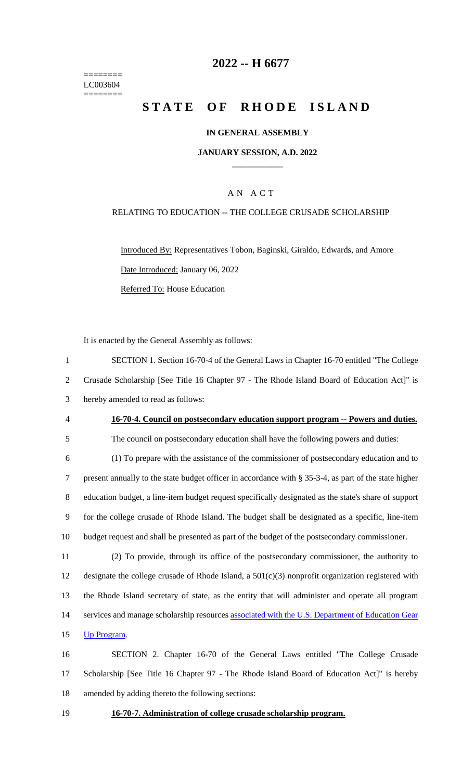======== LC003604 ========

## **2022 -- H 6677**

# **STATE OF RHODE ISLAND**

#### **IN GENERAL ASSEMBLY**

#### **JANUARY SESSION, A.D. 2022 \_\_\_\_\_\_\_\_\_\_\_\_**

### A N A C T

#### RELATING TO EDUCATION -- THE COLLEGE CRUSADE SCHOLARSHIP

Introduced By: Representatives Tobon, Baginski, Giraldo, Edwards, and Amore Date Introduced: January 06, 2022 Referred To: House Education

It is enacted by the General Assembly as follows:

 SECTION 1. Section 16-70-4 of the General Laws in Chapter 16-70 entitled "The College Crusade Scholarship [See Title 16 Chapter 97 - The Rhode Island Board of Education Act]" is hereby amended to read as follows: **16-70-4. Council on postsecondary education support program -- Powers and duties.** The council on postsecondary education shall have the following powers and duties: (1) To prepare with the assistance of the commissioner of postsecondary education and to present annually to the state budget officer in accordance with § 35-3-4, as part of the state higher education budget, a line-item budget request specifically designated as the state's share of support for the college crusade of Rhode Island. The budget shall be designated as a specific, line-item budget request and shall be presented as part of the budget of the postsecondary commissioner. (2) To provide, through its office of the postsecondary commissioner, the authority to

 designate the college crusade of Rhode Island, a 501(c)(3) nonprofit organization registered with the Rhode Island secretary of state, as the entity that will administer and operate all program 14 services and manage scholarship resources associated with the U.S. Department of Education Gear Up Program.

16 SECTION 2. Chapter 16-70 of the General Laws entitled "The College Crusade 17 Scholarship [See Title 16 Chapter 97 - The Rhode Island Board of Education Act]" is hereby 18 amended by adding thereto the following sections:

19 **16-70-7. Administration of college crusade scholarship program.**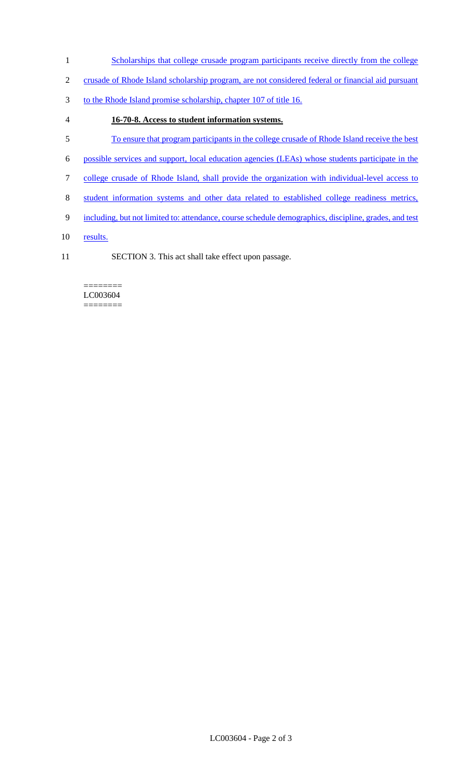- 1 Scholarships that college crusade program participants receive directly from the college
- 2 crusade of Rhode Island scholarship program, are not considered federal or financial aid pursuant
- 3 to the Rhode Island promise scholarship, chapter 107 of title 16.
- 4 **16-70-8. Access to student information systems.**
- 5 To ensure that program participants in the college crusade of Rhode Island receive the best
- 6 possible services and support, local education agencies (LEAs) whose students participate in the
- 7 college crusade of Rhode Island, shall provide the organization with individual-level access to
- 8 student information systems and other data related to established college readiness metrics,
- 9 including, but not limited to: attendance, course schedule demographics, discipline, grades, and test
- 10 results.
- 11 SECTION 3. This act shall take effect upon passage.

#### ======== LC003604 ========